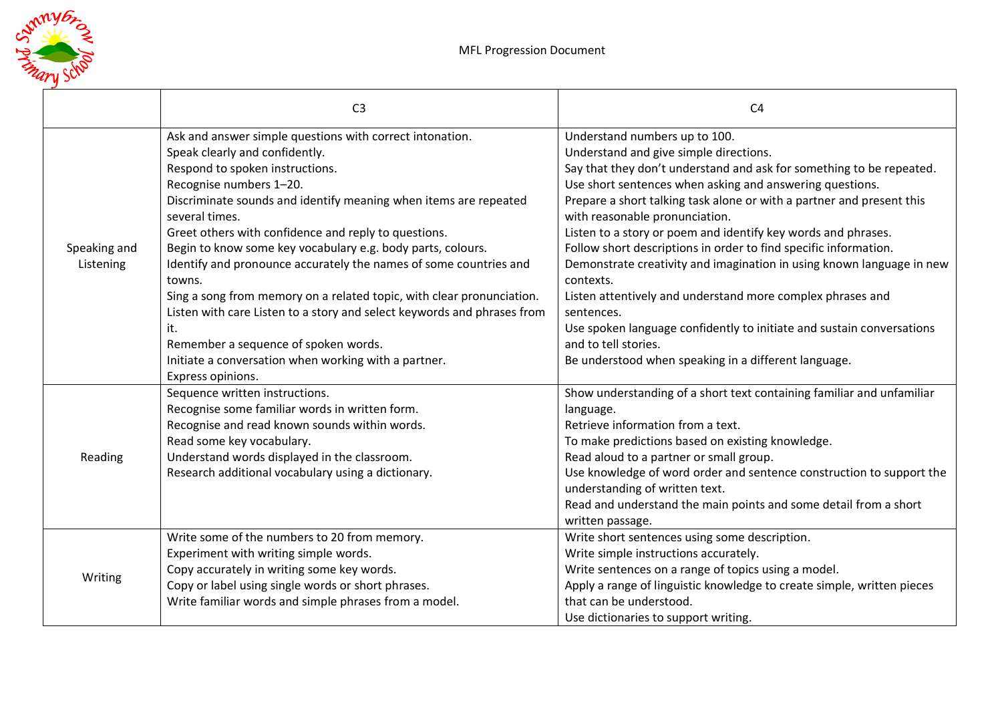

|                           | C <sub>3</sub>                                                                                                                                                                                                                                                                                                                                                                                                                                                                                                                                                                                                                                                                                                  | C <sub>4</sub>                                                                                                                                                                                                                                                                                                                                                                                                                                                                                                                                                                                                                                                                                                                                                                         |
|---------------------------|-----------------------------------------------------------------------------------------------------------------------------------------------------------------------------------------------------------------------------------------------------------------------------------------------------------------------------------------------------------------------------------------------------------------------------------------------------------------------------------------------------------------------------------------------------------------------------------------------------------------------------------------------------------------------------------------------------------------|----------------------------------------------------------------------------------------------------------------------------------------------------------------------------------------------------------------------------------------------------------------------------------------------------------------------------------------------------------------------------------------------------------------------------------------------------------------------------------------------------------------------------------------------------------------------------------------------------------------------------------------------------------------------------------------------------------------------------------------------------------------------------------------|
| Speaking and<br>Listening | Ask and answer simple questions with correct intonation.<br>Speak clearly and confidently.<br>Respond to spoken instructions.<br>Recognise numbers 1-20.<br>Discriminate sounds and identify meaning when items are repeated<br>several times.<br>Greet others with confidence and reply to questions.<br>Begin to know some key vocabulary e.g. body parts, colours.<br>Identify and pronounce accurately the names of some countries and<br>towns.<br>Sing a song from memory on a related topic, with clear pronunciation.<br>Listen with care Listen to a story and select keywords and phrases from<br>it.<br>Remember a sequence of spoken words.<br>Initiate a conversation when working with a partner. | Understand numbers up to 100.<br>Understand and give simple directions.<br>Say that they don't understand and ask for something to be repeated.<br>Use short sentences when asking and answering questions.<br>Prepare a short talking task alone or with a partner and present this<br>with reasonable pronunciation.<br>Listen to a story or poem and identify key words and phrases.<br>Follow short descriptions in order to find specific information.<br>Demonstrate creativity and imagination in using known language in new<br>contexts.<br>Listen attentively and understand more complex phrases and<br>sentences.<br>Use spoken language confidently to initiate and sustain conversations<br>and to tell stories.<br>Be understood when speaking in a different language. |
| Reading                   | Express opinions.<br>Sequence written instructions.<br>Recognise some familiar words in written form.<br>Recognise and read known sounds within words.<br>Read some key vocabulary.<br>Understand words displayed in the classroom.<br>Research additional vocabulary using a dictionary.                                                                                                                                                                                                                                                                                                                                                                                                                       | Show understanding of a short text containing familiar and unfamiliar<br>language.<br>Retrieve information from a text.<br>To make predictions based on existing knowledge.<br>Read aloud to a partner or small group.<br>Use knowledge of word order and sentence construction to support the<br>understanding of written text.<br>Read and understand the main points and some detail from a short<br>written passage.                                                                                                                                                                                                                                                                                                                                                               |
| Writing                   | Write some of the numbers to 20 from memory.<br>Experiment with writing simple words.<br>Copy accurately in writing some key words.<br>Copy or label using single words or short phrases.<br>Write familiar words and simple phrases from a model.                                                                                                                                                                                                                                                                                                                                                                                                                                                              | Write short sentences using some description.<br>Write simple instructions accurately.<br>Write sentences on a range of topics using a model.<br>Apply a range of linguistic knowledge to create simple, written pieces<br>that can be understood.<br>Use dictionaries to support writing.                                                                                                                                                                                                                                                                                                                                                                                                                                                                                             |